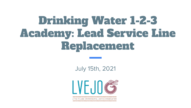# Drinking Water 1-2-3 Academy: Lead Service Line Replacement

July 15th, 2021



ITTLE VILLAGE ENVIRONMENTAL JUSTICE ORGANIZATION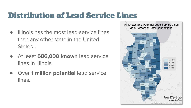# Distribution of Lead Service Lines

- Illinois has the most lead service lines than any other state in the United States .
- At least **686,000 known** lead service lines in Illinois.
- **Over 1 million potential lead service** lines.

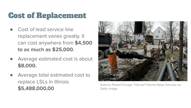# Cost of Replacement

- Cost of lead service line replacement varies greatly. It can cost anywhere from **\$4,500 to as much as \$25,000.**
- Average estimated cost is about **\$8,000.**
- Average total estimated cost to replace LSLs in Illinois **\$5,488,000,00**



Antonio Perez/Chicago Tribune/Tribune News Service via Getty Image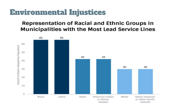### Environmental Injustices

#### **Representation of Racial and Ethnic Groups in** Municipalities with the Most Lead Service Lines

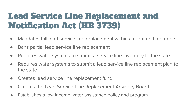# Lead Service Line Replacement and Notification Act (HB 3739)

- Mandates full lead service line replacement within a required timeframe
- Bans partial lead service line replacement
- Requires water systems to submit a service line inventory to the state
- Requires water systems to submit a lead service line replacement plan to the state
- Creates lead service line replacement fund
- Creates the Lead Service Line Replacement Advisory Board
- Establishes a low income water assistance policy and program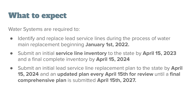## What to expect

Water Systems are required to:

- Identify and replace lead service lines during the process of water main replacement beginning **January 1st, 2022.**
- Submit an initial **service line inventory** to the state by **April 15, 2023**  and a final complete inventory by **April 15, 2024**
- Submit an initial lead service line replacement plan to the state by **April 15, 2024** and an **updated plan every April 15th for review** until a **final comprehensive plan** is submitted **April 15th, 2027.**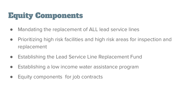# Equity Components

- Mandating the replacement of ALL lead service lines
- Prioritizing high risk facilities and high risk areas for inspection and replacement
- Establishing the Lead Service Line Replacement Fund
- Establishing a low income water assistance program
- Equity components for job contracts